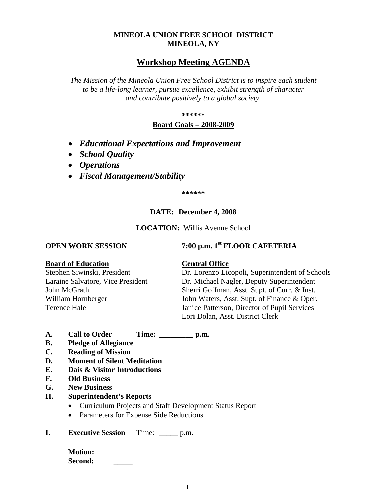### **MINEOLA UNION FREE SCHOOL DISTRICT MINEOLA, NY**

## **Workshop Meeting AGENDA**

*The Mission of the Mineola Union Free School District is to inspire each student to be a life-long learner, pursue excellence, exhibit strength of character and contribute positively to a global society.*

**\*\*\*\*\*\***

### **Board Goals – 2008-2009**

- *Educational Expectations and Improvement*
- *School Quality*
- *Operations*
- *Fiscal Management/Stability*

**\*\*\*\*\*\***

### **DATE: December 4, 2008**

**LOCATION:** Willis Avenue School

# **OPEN WORK SESSION 7:00 p.m. 1st <b>FLOOR CAFETERIA**

### **Board of Education Central Office**

Stephen Siwinski, President Dr. Lorenzo Licopoli, Superintendent of Schools Laraine Salvatore, Vice President Dr. Michael Nagler, Deputy Superintendent John McGrath Sherri Goffman, Asst. Supt. of Curr. & Inst. William Hornberger John Waters, Asst. Supt. of Finance & Oper. Terence Hale Janice Patterson, Director of Pupil Services Lori Dolan, Asst. District Clerk

- **A. Call to Order Time: \_\_\_\_\_\_\_\_\_ p.m.**
- **B. Pledge of Allegiance**
- **C. Reading of Mission**
- **D. Moment of Silent Meditation**
- **E. Dais & Visitor Introductions**
- **F. Old Business**
- **G. New Business**
- **H. Superintendent's Reports**
	- Curriculum Projects and Staff Development Status Report
	- Parameters for Expense Side Reductions
- **I. Executive Session** Time: \_\_\_\_\_ p.m.

**Motion:** \_\_\_\_\_ **Second: \_\_\_\_\_**